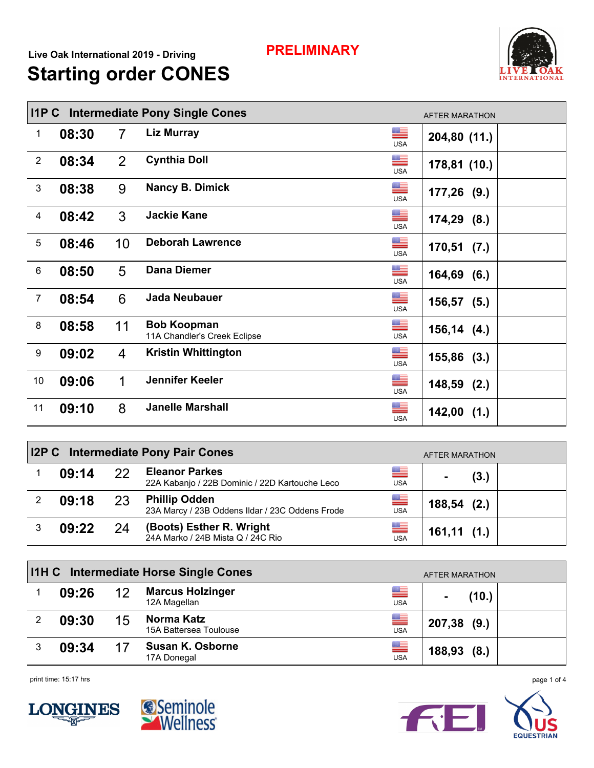## **PRELIMINARY**

## **Starting order CONES Live Oak International 2019 - Driving**



|                | <b>Intermediate Pony Single Cones</b><br>$I$ 1 $P$ $C$<br><b>AFTER MARATHON</b> |                |                                                    |                  |                |  |  |  |
|----------------|---------------------------------------------------------------------------------|----------------|----------------------------------------------------|------------------|----------------|--|--|--|
| 1              | 08:30                                                                           | $\overline{7}$ | <b>Liz Murray</b>                                  | ▀<br><b>USA</b>  | 204,80 (11.)   |  |  |  |
| $\overline{2}$ | 08:34                                                                           | $\overline{2}$ | <b>Cynthia Doll</b>                                | ▀<br><b>USA</b>  | 178,81 (10.)   |  |  |  |
| 3              | 08:38                                                                           | 9              | <b>Nancy B. Dimick</b>                             | ▆▆<br><b>USA</b> | $177,26$ (9.)  |  |  |  |
| 4              | 08:42                                                                           | 3              | <b>Jackie Kane</b>                                 | ▆▆<br><b>USA</b> | $174,29$ (8.)  |  |  |  |
| $\sqrt{5}$     | 08:46                                                                           | 10             | <b>Deborah Lawrence</b>                            | ▀<br><b>USA</b>  | $170,51$ (7.)  |  |  |  |
| 6              | 08:50                                                                           | 5              | <b>Dana Diemer</b>                                 | ▀<br><b>USA</b>  | $164,69$ (6.)  |  |  |  |
| $\overline{7}$ | 08:54                                                                           | 6              | <b>Jada Neubauer</b>                               | ▀<br><b>USA</b>  | 156,57<br>(5.) |  |  |  |
| 8              | 08:58                                                                           | 11             | <b>Bob Koopman</b><br>11A Chandler's Creek Eclipse | ▀<br><b>USA</b>  | $156, 14$ (4.) |  |  |  |
| $9\,$          | 09:02                                                                           | 4              | <b>Kristin Whittington</b>                         | ▀<br><b>USA</b>  | $155,86$ (3.)  |  |  |  |
| 10             | 09:06                                                                           | 1              | Jennifer Keeler                                    | ▀<br><b>USA</b>  | $148,59$ (2.)  |  |  |  |
| 11             | 09:10                                                                           | 8              | <b>Janelle Marshall</b>                            | ▀<br><b>USA</b>  | $142,00$ (1.)  |  |  |  |

| <b>I2P C</b> Intermediate Pony Pair Cones<br>AFTER MARATHON |    |                                                                         |                 |            |  |  |  |  |
|-------------------------------------------------------------|----|-------------------------------------------------------------------------|-----------------|------------|--|--|--|--|
| 09:14                                                       | 22 | <b>Eleanor Parkes</b><br>22A Kabanjo / 22B Dominic / 22D Kartouche Leco | ▀<br><b>USA</b> | (3.)       |  |  |  |  |
| 09:18                                                       | 23 | <b>Phillip Odden</b><br>23A Marcy / 23B Oddens Ildar / 23C Oddens Frode | ▀<br><b>USA</b> | 188,54(2.) |  |  |  |  |
| 09:22                                                       | 24 | (Boots) Esther R. Wright<br>24A Marko / 24B Mista Q / 24C Rio           | ▀<br><b>USA</b> | 161,11(1.) |  |  |  |  |

|   |       |    | <b>I1H C</b> Intermediate Horse Single Cones |                 | AFTER MARATHON |
|---|-------|----|----------------------------------------------|-----------------|----------------|
|   | 09:26 | 12 | <b>Marcus Holzinger</b><br>12A Magellan      | ▀<br><b>USA</b> | (10.)          |
|   | 09:30 | 15 | Norma Katz<br>15A Battersea Toulouse         | ▀<br><b>USA</b> | $207,38$ (9.)  |
| 3 | 09:34 |    | <b>Susan K. Osborne</b><br>17A Donegal       | ▀<br><b>USA</b> | 188,93(8.)     |

print time: 15:17 hrs page 1 of 4





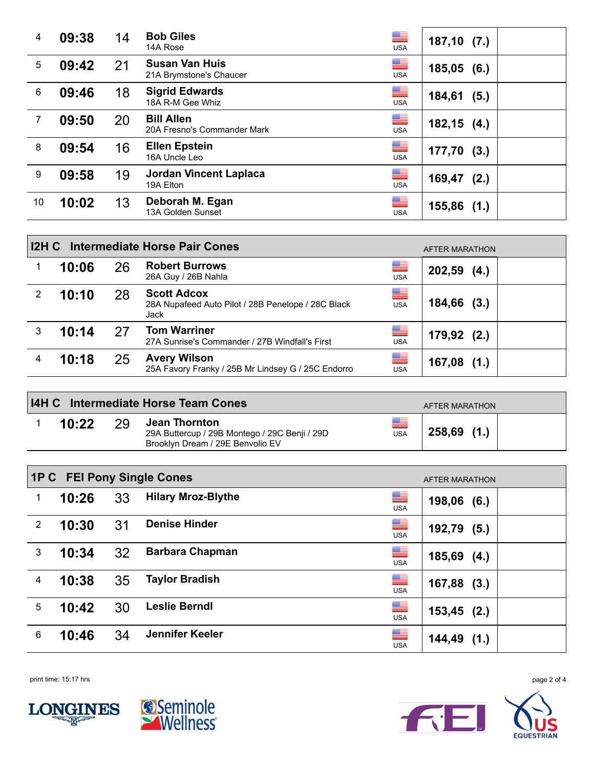| 4  | 09:38 | 14 | <b>Bob Giles</b><br>14A Rose                     | ▀<br><b>USA</b> | $187,10$ (7.)  |
|----|-------|----|--------------------------------------------------|-----------------|----------------|
| 5  | 09:42 | 21 | <b>Susan Van Huis</b><br>21A Brymstone's Chaucer | ▀<br><b>USA</b> | 185,05(6.)     |
| 6  | 09:46 | 18 | <b>Sigrid Edwards</b><br>18A R-M Gee Whiz        | ▀<br><b>USA</b> | 184,61<br>(5.) |
| 7  | 09:50 | 20 | <b>Bill Allen</b><br>20A Fresno's Commander Mark | ▀<br><b>USA</b> | $182,15$ (4.)  |
| 8  | 09:54 | 16 | <b>Ellen Epstein</b><br>16A Uncle Leo            | ▀<br><b>USA</b> | $177,70$ (3.)  |
| 9  | 09:58 | 19 | <b>Jordan Vincent Laplaca</b><br>19A Elton       | ▀<br><b>USA</b> | 169,47<br>(2.) |
| 10 | 10:02 | 13 | Deborah M. Egan<br>13A Golden Sunset             | ▀<br><b>USA</b> | $155,86$ (1.)  |

|   | Intermediate Horse Pair Cones<br>I2H C<br>AFTER MARATHON |    |                                                                                  |                 |                |  |  |  |  |  |
|---|----------------------------------------------------------|----|----------------------------------------------------------------------------------|-----------------|----------------|--|--|--|--|--|
|   | 10:06                                                    | 26 | <b>Robert Burrows</b><br>26A Guy / 26B Nahla                                     | ▀<br><b>USA</b> | $202,59$ (4.)  |  |  |  |  |  |
| 2 | 10:10                                                    | 28 | <b>Scott Adcox</b><br>28A Nupafeed Auto Pilot / 28B Penelope / 28C Black<br>Jack | ▀<br><b>USA</b> | $184,66$ (3.)  |  |  |  |  |  |
| 3 | 10:14                                                    | 27 | <b>Tom Warriner</b><br>27A Sunrise's Commander / 27B Windfall's First            | ▀<br><b>USA</b> | $179,92$ (2.)  |  |  |  |  |  |
| 4 | 10:18                                                    | 25 | <b>Avery Wilson</b><br>25A Favory Franky / 25B Mr Lindsey G / 25C Endorro        | ▀<br><b>USA</b> | (1.)<br>167,08 |  |  |  |  |  |

| <b>I4H C</b> Intermediate Horse Team Cones<br>AFTER MARATHON |  |                                                                                                    |            |               |  |  |  |  |
|--------------------------------------------------------------|--|----------------------------------------------------------------------------------------------------|------------|---------------|--|--|--|--|
| 10:22                                                        |  | Jean Thornton<br>29A Buttercup / 29B Montego / 29C Benji / 29D<br>Brooklyn Dream / 29E Benvolio EV | <b>USA</b> | $258,69$ (1.) |  |  |  |  |

|                | <b>1P C</b> FEI Pony Single Cones |    | AFTER MARATHON            |                        |                |
|----------------|-----------------------------------|----|---------------------------|------------------------|----------------|
|                | 10:26                             | 33 | <b>Hilary Mroz-Blythe</b> | ▆▆<br><b>USA</b>       | $198,06$ (6.)  |
| $\overline{2}$ | 10:30                             | 31 | <b>Denise Hinder</b>      | ▀<br><b>USA</b>        | $192,79$ (5.)  |
| 3              | 10:34                             | 32 | <b>Barbara Chapman</b>    | ▀<br><b>USA</b>        | $185,69$ (4.)  |
| 4              | 10:38                             | 35 | <b>Taylor Bradish</b>     | $\equiv$<br><b>USA</b> | $167,88$ (3.)  |
| 5              | 10:42                             | 30 | <b>Leslie Berndl</b>      | ▀<br><b>USA</b>        | $153,45$ (2.)  |
| 6              | 10:46                             | 34 | Jennifer Keeler           | ▀<br><b>USA</b>        | 144,49<br>(1.) |

print time: 15:17 hrs page 2 of 4





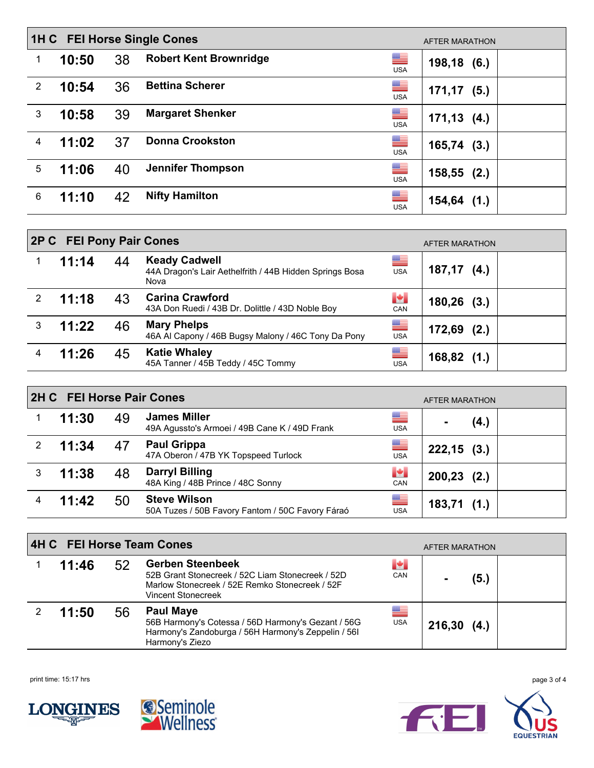|                | 1H C FEI Horse Single Cones<br>AFTER MARATHON |    |                                                  |            |                |  |  |  |
|----------------|-----------------------------------------------|----|--------------------------------------------------|------------|----------------|--|--|--|
|                | 10:50                                         | 38 | ▀<br><b>Robert Kent Brownridge</b><br><b>USA</b> |            | 198,18(6.)     |  |  |  |
| $\overline{2}$ | 10:54                                         | 36 | <b>Bettina Scherer</b><br><b>USA</b>             | ▀          | $171, 17$ (5.) |  |  |  |
| 3              | 10:58                                         | 39 | <b>Margaret Shenker</b><br><b>USA</b>            | ▀          | $171, 13$ (4.) |  |  |  |
| 4              | 11:02                                         | 37 | $\equiv$<br><b>Donna Crookston</b><br><b>USA</b> |            | $165,74$ (3.)  |  |  |  |
| 5              | 11:06                                         | 40 | <b>Jennifer Thompson</b><br><b>USA</b>           | ▀          | $158,55$ (2.)  |  |  |  |
| 6              | 11:10                                         | 42 | $\equiv$<br><b>Nifty Hamilton</b>                | <b>USA</b> | $154,64$ (1.)  |  |  |  |

|   | 2P C FEI Pony Pair Cones<br>AFTER MARATHON |    |                                                                                         |                                      |               |  |  |  |  |
|---|--------------------------------------------|----|-----------------------------------------------------------------------------------------|--------------------------------------|---------------|--|--|--|--|
|   | 11:14                                      | 44 | <b>Keady Cadwell</b><br>44A Dragon's Lair Aethelfrith / 44B Hidden Springs Bosa<br>Nova | ▀<br><b>USA</b>                      | $187,17$ (4.) |  |  |  |  |
| 2 | 11:18                                      | 43 | <b>Carina Crawford</b><br>43A Don Ruedi / 43B Dr. Dolittle / 43D Noble Boy              | $\left\  \mathbf{H} \right\ $<br>CAN | $180,26$ (3.) |  |  |  |  |
| 3 | 11:22                                      | 46 | <b>Mary Phelps</b><br>46A Al Capony / 46B Bugsy Malony / 46C Tony Da Pony               | $\equiv$<br><b>USA</b>               | $172,69$ (2.) |  |  |  |  |
|   | 11:26                                      | 45 | <b>Katie Whaley</b><br>45A Tanner / 45B Teddy / 45C Tommy                               | ▀<br><b>USA</b>                      | 168,82(1.)    |  |  |  |  |

|   | 2H C FEI Horse Pair Cones<br><b>AFTER MARATHON</b> |    |                                                                         |                                 |               |  |  |  |  |
|---|----------------------------------------------------|----|-------------------------------------------------------------------------|---------------------------------|---------------|--|--|--|--|
|   | 11:30                                              | 49 | <b>James Miller</b><br>49A Agussto's Armoei / 49B Cane K / 49D Frank    | ▀<br>USA                        | (4.)          |  |  |  |  |
| 2 | 11:34                                              | 47 | <b>Paul Grippa</b><br>47A Oberon / 47B YK Topspeed Turlock              | ▀<br><b>USA</b>                 | $222,15$ (3.) |  |  |  |  |
| 3 | 11:38                                              | 48 | <b>Darryl Billing</b><br>48A King / 48B Prince / 48C Sonny              | $\left  \bullet \right $<br>CAN | $200,23$ (2.) |  |  |  |  |
|   | 11:42                                              | 50 | <b>Steve Wilson</b><br>50A Tuzes / 50B Favory Fantom / 50C Favory Fáraó | ▀<br><b>USA</b>                 | 183,71(1.)    |  |  |  |  |

| 4H C FEI Horse Team Cones<br>AFTER MARATHON |    |                                                                                                                                                            |                                 |               |  |  |  |
|---------------------------------------------|----|------------------------------------------------------------------------------------------------------------------------------------------------------------|---------------------------------|---------------|--|--|--|
| 11:46                                       | 52 | <b>Gerben Steenbeek</b><br>52B Grant Stonecreek / 52C Liam Stonecreek / 52D<br>Marlow Stonecreek / 52E Remko Stonecreek / 52F<br><b>Vincent Stonecreek</b> | $\left  \bullet \right $<br>CAN | (5.)          |  |  |  |
| 11:50                                       | 56 | <b>Paul Maye</b><br>56B Harmony's Cotessa / 56D Harmony's Gezant / 56G<br>Harmony's Zandoburga / 56H Harmony's Zeppelin / 56I<br>Harmony's Ziezo           | ▀<br><b>USA</b>                 | $216,30$ (4.) |  |  |  |

print time: 15:17 hrs page 3 of 4